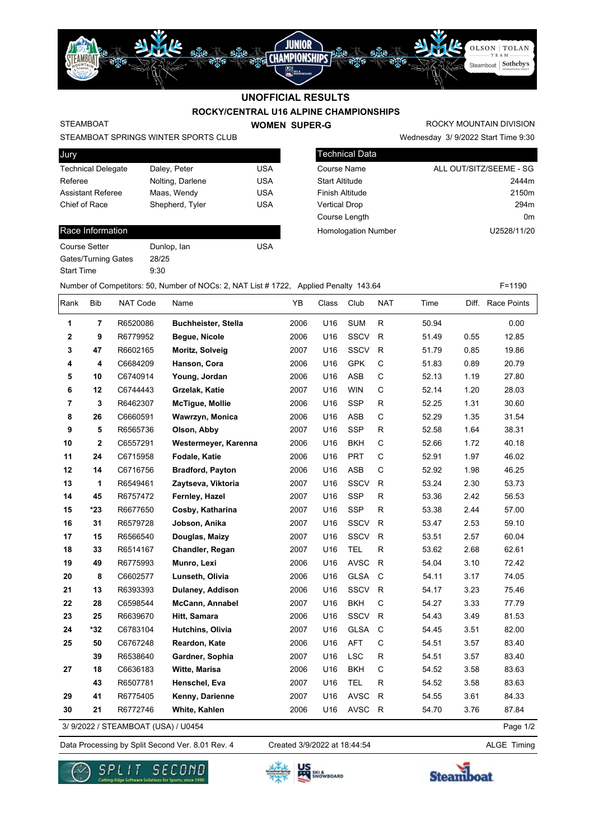# **ROCKY/CENTRAL U16 ALPINE CHAMPIONSHIPS UNOFFICIAL RESULTS**

JUNIOR

**STREET CHAMPIONSHIPS** 

蜷

uXu

### STEAMBOAT

**WOMEN SUPER-G** 

Wednesday 3/ 9/2022 Start Time 9:30 ROCKY MOUNTAIN DIVISION

OLSON | TOLAN

Steamboat | Sotheby's

STEAMBOAT SPRINGS WINTER SPORTS CLUB

| Jury                      |                  |            |
|---------------------------|------------------|------------|
| <b>Technical Delegate</b> | Daley, Peter     | USA        |
| Referee                   | Nolting, Darlene | <b>USA</b> |
| <b>Assistant Referee</b>  | Maas, Wendy      | USA        |
| Chief of Race             | Shepherd, Tyler  | USA        |
|                           |                  |            |

#### Race Information

| Course Setter       | Dunlop, lan | USA |
|---------------------|-------------|-----|
| Gates/Turning Gates | 28/25       |     |
| Start Time          | 9:30        |     |

| <b>Technical Data</b>      |                         |
|----------------------------|-------------------------|
| <b>Course Name</b>         | ALL OUT/SITZ/SEEME - SG |
| <b>Start Altitude</b>      | 2444m                   |
| Finish Altitude            | 2150m                   |
| <b>Vertical Drop</b>       | 294m                    |
| Course Length              | 0 <sub>m</sub>          |
| <b>Homologation Number</b> | U2528/11/20             |
|                            |                         |

当光

Number of Competitors: 50, Number of NOCs: 2, NAT List # 1722, Applied Penalty 143.64 F=1190

| Rank           | Bib                     | NAT Code                           | Name                       | YB   | Class | Club        | <b>NAT</b>   | Time  |      | Diff. Race Points |
|----------------|-------------------------|------------------------------------|----------------------------|------|-------|-------------|--------------|-------|------|-------------------|
| 1              | $\overline{7}$          | R6520086                           | <b>Buchheister, Stella</b> | 2006 | U16   | <b>SUM</b>  | $\mathsf{R}$ | 50.94 |      | 0.00              |
| 2              | 9                       | R6779952                           | Begue, Nicole              | 2006 | U16   | <b>SSCV</b> | $\mathsf{R}$ | 51.49 | 0.55 | 12.85             |
| 3              | 47                      | R6602165                           | Moritz, Solveig            | 2007 | U16   | SSCV        | ${\sf R}$    | 51.79 | 0.85 | 19.86             |
| 4              | $\overline{\mathbf{4}}$ | C6684209                           | Hanson, Cora               | 2006 | U16   | <b>GPK</b>  | $\mathsf C$  | 51.83 | 0.89 | 20.79             |
| 5              | 10                      | C6740914                           | Young, Jordan              | 2006 | U16   | <b>ASB</b>  | C            | 52.13 | 1.19 | 27.80             |
| 6              | 12                      | C6744443                           | Grzelak, Katie             | 2007 | U16   | <b>WIN</b>  | $\mathsf C$  | 52.14 | 1.20 | 28.03             |
| $\overline{7}$ | 3                       | R6462307                           | <b>McTigue, Mollie</b>     | 2006 | U16   | <b>SSP</b>  | $\mathsf R$  | 52.25 | 1.31 | 30.60             |
| 8              | 26                      | C6660591                           | Wawrzyn, Monica            | 2006 | U16   | <b>ASB</b>  | $\mathsf C$  | 52.29 | 1.35 | 31.54             |
| 9              | 5                       | R6565736                           | Olson, Abby                | 2007 | U16   | <b>SSP</b>  | $\mathsf{R}$ | 52.58 | 1.64 | 38.31             |
| 10             | $\overline{\mathbf{2}}$ | C6557291                           | Westermeyer, Karenna       | 2006 | U16   | <b>BKH</b>  | C            | 52.66 | 1.72 | 40.18             |
| 11             | 24                      | C6715958                           | Fodale, Katie              | 2006 | U16   | <b>PRT</b>  | C            | 52.91 | 1.97 | 46.02             |
| 12             | 14                      | C6716756                           | <b>Bradford, Payton</b>    | 2006 | U16   | <b>ASB</b>  | C            | 52.92 | 1.98 | 46.25             |
| 13             | 1                       | R6549461                           | Zaytseva, Viktoria         | 2007 | U16   | <b>SSCV</b> | $\mathsf{R}$ | 53.24 | 2.30 | 53.73             |
| 14             | 45                      | R6757472                           | Fernley, Hazel             | 2007 | U16   | <b>SSP</b>  | R            | 53.36 | 2.42 | 56.53             |
| 15             | *23                     | R6677650                           | Cosby, Katharina           | 2007 | U16   | <b>SSP</b>  | $\mathsf{R}$ | 53.38 | 2.44 | 57.00             |
| 16             | 31                      | R6579728                           | Jobson, Anika              | 2007 | U16   | <b>SSCV</b> | $\mathsf{R}$ | 53.47 | 2.53 | 59.10             |
| 17             | 15                      | R6566540                           | Douglas, Maizy             | 2007 | U16   | SSCV        | R            | 53.51 | 2.57 | 60.04             |
| 18             | 33                      | R6514167                           | Chandler, Regan            | 2007 | U16   | <b>TEL</b>  | $\mathsf{R}$ | 53.62 | 2.68 | 62.61             |
| 19             | 49                      | R6775993                           | Munro, Lexi                | 2006 | U16   | <b>AVSC</b> | $\mathsf{R}$ | 54.04 | 3.10 | 72.42             |
| 20             | 8                       | C6602577                           | Lunseth, Olivia            | 2006 | U16   | <b>GLSA</b> | $\mathbf C$  | 54.11 | 3.17 | 74.05             |
| 21             | 13                      | R6393393                           | Dulaney, Addison           | 2006 | U16   | <b>SSCV</b> | $\mathsf{R}$ | 54.17 | 3.23 | 75.46             |
| 22             | 28                      | C6598544                           | McCann, Annabel            | 2007 | U16   | <b>BKH</b>  | C            | 54.27 | 3.33 | 77.79             |
| 23             | 25                      | R6639670                           | Hitt, Samara               | 2006 | U16   | SSCV        | $\mathsf{R}$ | 54.43 | 3.49 | 81.53             |
| 24             | *32                     | C6783104                           | Hutchins, Olivia           | 2007 | U16   | <b>GLSA</b> | $\mathsf{C}$ | 54.45 | 3.51 | 82.00             |
| 25             | 50                      | C6767248                           | Reardon, Kate              | 2006 | U16   | <b>AFT</b>  | C            | 54.51 | 3.57 | 83.40             |
|                | 39                      | R6538640                           | Gardner, Sophia            | 2007 | U16   | <b>LSC</b>  | $\mathsf{R}$ | 54.51 | 3.57 | 83.40             |
| 27             | 18                      | C6636183                           | Witte, Marisa              | 2006 | U16   | <b>BKH</b>  | C            | 54.52 | 3.58 | 83.63             |
|                | 43                      | R6507781                           | Henschel, Eva              | 2007 | U16   | <b>TEL</b>  | $\mathsf{R}$ | 54.52 | 3.58 | 83.63             |
| 29             | 41                      | R6775405                           | Kenny, Darienne            | 2007 | U16   | <b>AVSC</b> | R            | 54.55 | 3.61 | 84.33             |
| 30             | 21                      | R6772746                           | White, Kahlen              | 2006 | U16   | AVSC R      |              | 54.70 | 3.76 | 87.84             |
|                |                         | 3/9/2022 / STEAMBOAT (USA) / U0454 |                            |      |       |             |              |       |      | Page 1/2          |

3/ 9/2022 / STEAMBOAT (USA) / U0454

Data Processing by Split Second Ver. 8.01 Rev. 4 Created 3/9/2022 at 18:44:54 ALGE Timing

Created 3/9/2022 at 18:44:54